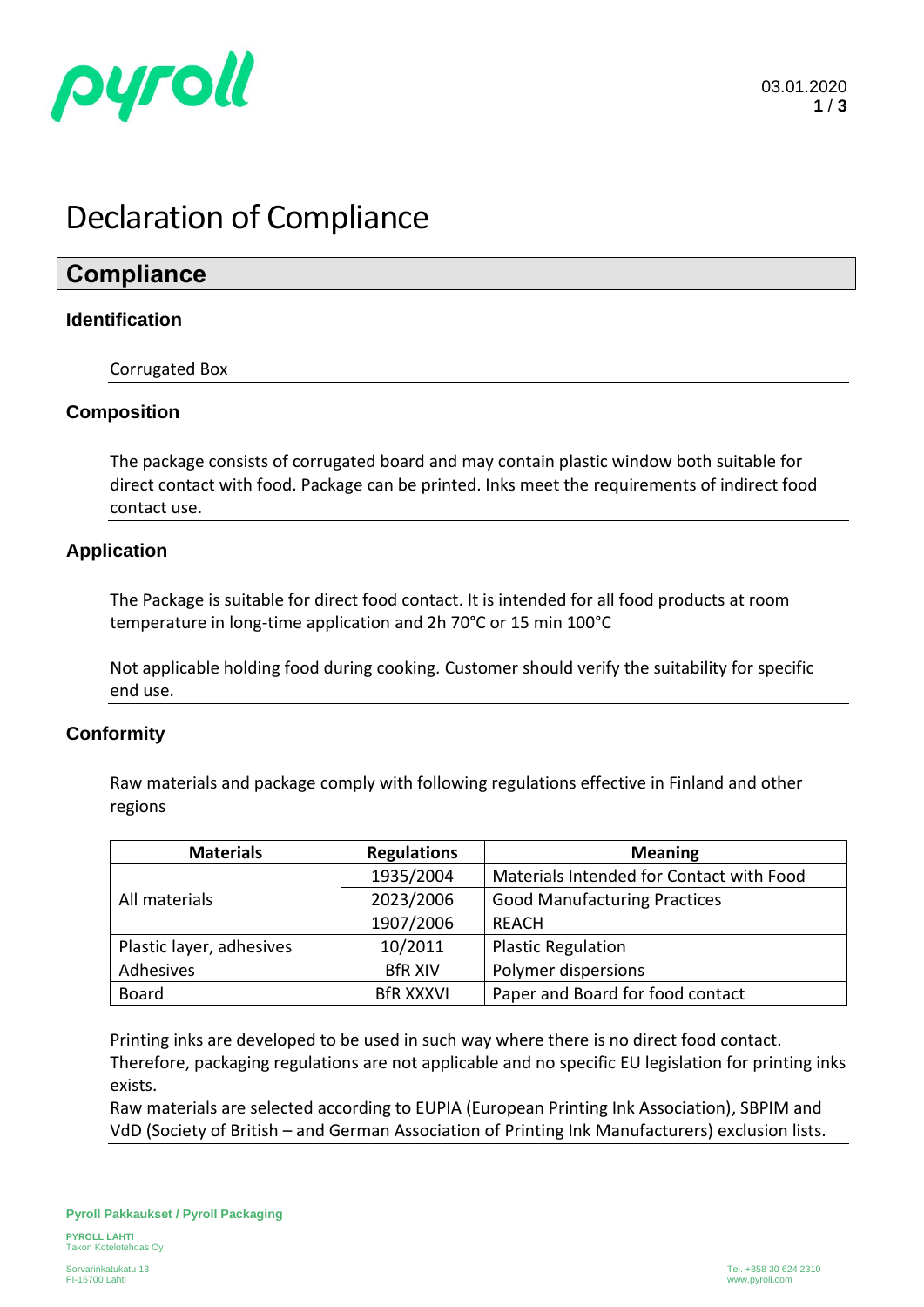

# Declaration of Compliance

### **Compliance**

#### **Identification**

Corrugated Box

#### **Composition**

The package consists of corrugated board and may contain plastic window both suitable for direct contact with food. Package can be printed. Inks meet the requirements of indirect food contact use.

#### **Application**

The Package is suitable for direct food contact. It is intended for all food products at room temperature in long-time application and 2h 70°C or 15 min 100°C

Not applicable holding food during cooking. Customer should verify the suitability for specific end use.

#### **Conformity**

Raw materials and package comply with following regulations effective in Finland and other regions

| <b>Materials</b>         | <b>Regulations</b> | <b>Meaning</b>                           |  |
|--------------------------|--------------------|------------------------------------------|--|
| All materials            | 1935/2004          | Materials Intended for Contact with Food |  |
|                          | 2023/2006          | <b>Good Manufacturing Practices</b>      |  |
|                          | 1907/2006          | REACH                                    |  |
| Plastic layer, adhesives | 10/2011            | <b>Plastic Regulation</b>                |  |
| Adhesives                | <b>BfR XIV</b>     | Polymer dispersions                      |  |
| <b>Board</b>             | <b>BfR XXXVI</b>   | Paper and Board for food contact         |  |

Printing inks are developed to be used in such way where there is no direct food contact. Therefore, packaging regulations are not applicable and no specific EU legislation for printing inks exists.

Raw materials are selected according to EUPIA (European Printing Ink Association), SBPIM and VdD (Society of British – and German Association of Printing Ink Manufacturers) exclusion lists.

**PYROLL LAHTI** Takon Kotelotehdas Oy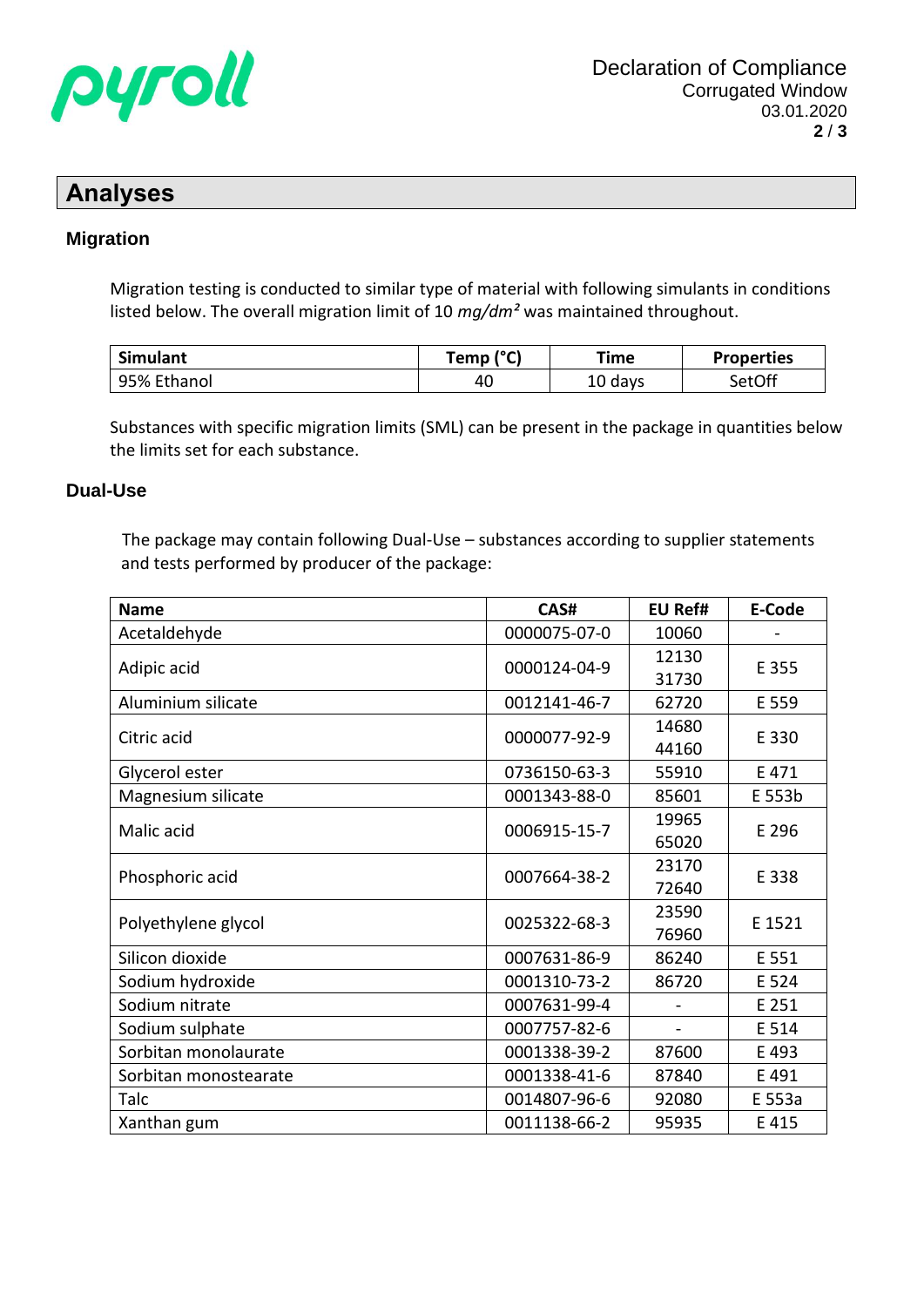

### **Analyses**

#### **Migration**

Migration testing is conducted to similar type of material with following simulants in conditions listed below. The overall migration limit of 10 *mg/dm²* was maintained throughout.

| Simulant    | (°C)<br>「emp | Time    | <b>Properties</b> |
|-------------|--------------|---------|-------------------|
| 95% Ethanol | 40           | 10 days | SetOff            |

Substances with specific migration limits (SML) can be present in the package in quantities below the limits set for each substance.

#### **Dual-Use**

The package may contain following Dual-Use – substances according to supplier statements and tests performed by producer of the package:

| <b>Name</b>           | CAS#         | <b>EU Ref#</b> | <b>E-Code</b> |
|-----------------------|--------------|----------------|---------------|
| Acetaldehyde          | 0000075-07-0 | 10060          |               |
|                       |              | 12130          |               |
| Adipic acid           | 0000124-04-9 |                | E 355         |
| Aluminium silicate    | 0012141-46-7 | 62720          | E 559         |
| Citric acid           | 0000077-92-9 | 14680          | E 330         |
|                       |              | 44160          |               |
| Glycerol ester        | 0736150-63-3 | 55910          | E 471         |
| Magnesium silicate    | 0001343-88-0 | 85601          | E 553b        |
|                       | 0006915-15-7 | 19965          | E 296         |
| Malic acid            |              | 65020          |               |
|                       | 0007664-38-2 | 23170          | E 338         |
| Phosphoric acid       |              | 72640          |               |
| Polyethylene glycol   | 0025322-68-3 | 23590          | E 1521        |
|                       |              | 76960          |               |
| Silicon dioxide       | 0007631-86-9 | 86240          | E 551         |
| Sodium hydroxide      | 0001310-73-2 | 86720          | E 524         |
| Sodium nitrate        | 0007631-99-4 |                | E 251         |
| Sodium sulphate       | 0007757-82-6 |                | E 514         |
| Sorbitan monolaurate  | 0001338-39-2 | 87600          | E 493         |
| Sorbitan monostearate | 0001338-41-6 | 87840          | E 491         |
| Talc                  | 0014807-96-6 | 92080          | E 553a        |
| Xanthan gum           | 0011138-66-2 | 95935          | E 415         |